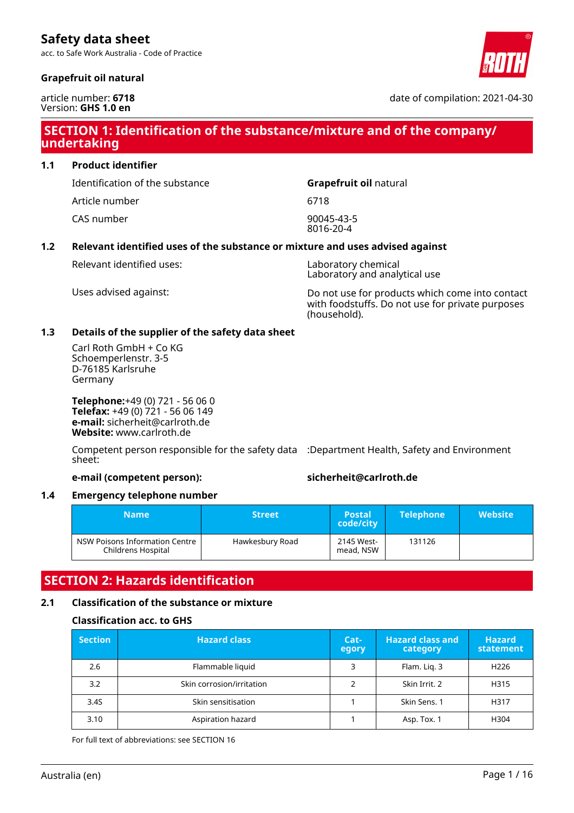acc. to Safe Work Australia - Code of Practice

### **Grapefruit oil natural**

article number: **6718** Version: **GHS 1.0 en**

date of compilation: 2021-04-30

# **SECTION 1: Identification of the substance/mixture and of the company/ undertaking**

**1.1 Product identifier**

Identification of the substance **Grapefruit oil** natural

Article number 6718

CAS number 90045-43-5

8016-20-4

### **1.2 Relevant identified uses of the substance or mixture and uses advised against**

Relevant identified uses: Laboratory chemical

Laboratory and analytical use

Uses advised against: Do not use for products which come into contact with foodstuffs. Do not use for private purposes (household).

### **1.3 Details of the supplier of the safety data sheet**

Carl Roth GmbH + Co KG Schoemperlenstr. 3-5 D-76185 Karlsruhe Germany

**Telephone:**+49 (0) 721 - 56 06 0 **Telefax:** +49 (0) 721 - 56 06 149 **e-mail:** sicherheit@carlroth.de **Website:** www.carlroth.de

Competent person responsible for the safety data :Department Health, Safety and Environment sheet:

#### **e-mail (competent person): sicherheit@carlroth.de**

### **1.4 Emergency telephone number**

| Name i                                               | <b>Street</b>   | <b>Postal</b><br>code/city | <b>Telephone</b> | <b>Website</b> |
|------------------------------------------------------|-----------------|----------------------------|------------------|----------------|
| NSW Poisons Information Centre<br>Childrens Hospital | Hawkesbury Road | 2145 West-<br>mead, NSW    | 131126           |                |

# **SECTION 2: Hazards identification**

# **2.1 Classification of the substance or mixture**

# **Classification acc. to GHS**

| <b>Section</b> | <b>Hazard class</b>       | Cat-<br>egory | <b>Hazard class and</b><br>category | <b>Hazard</b><br>statement |
|----------------|---------------------------|---------------|-------------------------------------|----------------------------|
| 2.6            | Flammable liquid          |               | Flam. Liq. 3                        | H <sub>226</sub>           |
| 3.2            | Skin corrosion/irritation |               | Skin Irrit. 2                       | H315                       |
| 3.4S           | Skin sensitisation        |               | Skin Sens. 1                        | H317                       |
| 3.10           | Aspiration hazard         |               | Asp. Tox. 1                         | H304                       |

For full text of abbreviations: see SECTION 16

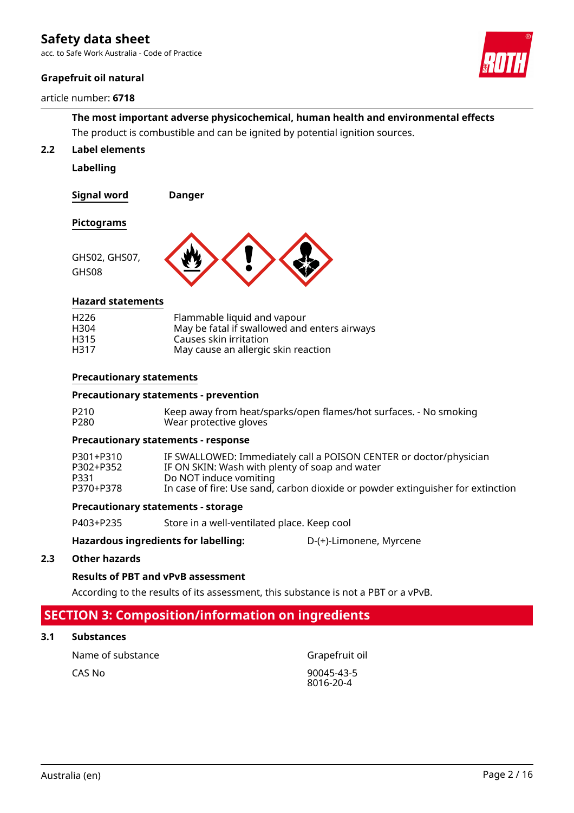acc. to Safe Work Australia - Code of Practice

### **Grapefruit oil natural**

#### article number: **6718**



**The most important adverse physicochemical, human health and environmental effects** The product is combustible and can be ignited by potential ignition sources.

**2.2 Label elements**

**Labelling**

**Signal word Danger**

#### **Pictograms**

GHS08



#### **Hazard statements**

| H <sub>226</sub> | Flammable liquid and vapour                  |
|------------------|----------------------------------------------|
| H304             | May be fatal if swallowed and enters airways |
| H315             | Causes skin irritation                       |
| H317             | May cause an allergic skin reaction          |

#### **Precautionary statements**

#### **Precautionary statements - prevention**

| P210 | Keep away from heat/sparks/open flames/hot surfaces. - No smoking |
|------|-------------------------------------------------------------------|
| P280 | Wear protective gloves                                            |

#### **Precautionary statements - response**

| P301+P310 | IF SWALLOWED: Immediately call a POISON CENTER or doctor/physician              |
|-----------|---------------------------------------------------------------------------------|
| P302+P352 | IF ON SKIN: Wash with plenty of soap and water                                  |
| P331      | Do NOT induce vomiting                                                          |
| P370+P378 | In case of fire: Use sand, carbon dioxide or powder extinguisher for extinction |

#### **Precautionary statements - storage**

P403+P235 Store in a well-ventilated place. Keep cool

#### **Hazardous ingredients for labelling:** D-(+)-Limonene, Myrcene

#### **2.3 Other hazards**

#### **Results of PBT and vPvB assessment**

According to the results of its assessment, this substance is not a PBT or a vPvB.

# **SECTION 3: Composition/information on ingredients**

#### **3.1 Substances**

Name of substance Grapefruit oil

CAS No 90045-43-5 8016-20-4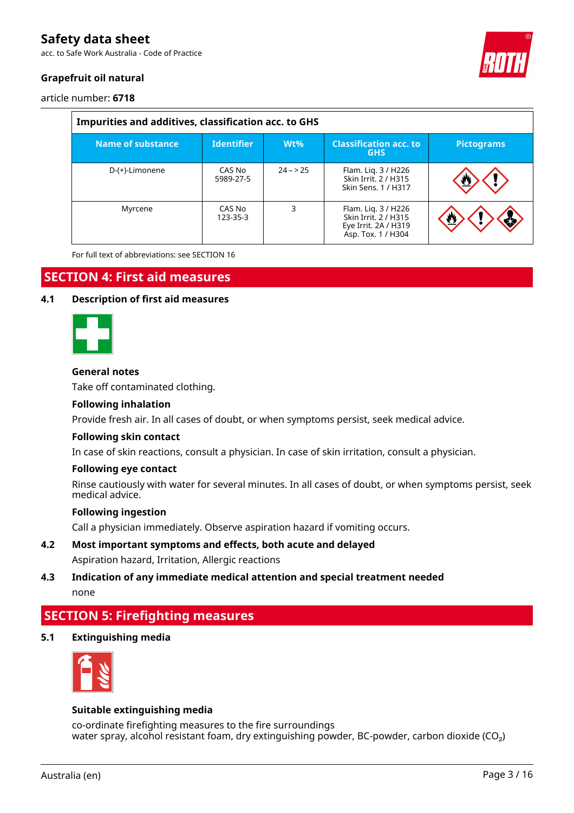acc. to Safe Work Australia - Code of Practice



# **Grapefruit oil natural**

article number: **6718**

| Impurities and additives, classification acc. to GHS |                     |           |                                                                                           |                   |  |  |  |
|------------------------------------------------------|---------------------|-----------|-------------------------------------------------------------------------------------------|-------------------|--|--|--|
| <b>Name of substance</b>                             | <b>Identifier</b>   | $Wt\%$    | <b>Classification acc. to</b><br><b>GHS</b>                                               | <b>Pictograms</b> |  |  |  |
| D-(+)-Limonene                                       | CAS No<br>5989-27-5 | $24 - 25$ | Flam. Lig. 3 / H226<br>Skin Irrit. 2 / H315<br>Skin Sens, 1 / H317                        | ₩                 |  |  |  |
| Myrcene                                              | CAS No<br>123-35-3  | 3         | Flam. Lig. 3 / H226<br>Skin Irrit. 2 / H315<br>Eye Irrit. 2A / H319<br>Asp. Tox. 1 / H304 |                   |  |  |  |

For full text of abbreviations: see SECTION 16

# **SECTION 4: First aid measures**

#### **4.1 Description of first aid measures**



#### **General notes**

Take off contaminated clothing.

#### **Following inhalation**

Provide fresh air. In all cases of doubt, or when symptoms persist, seek medical advice.

### **Following skin contact**

In case of skin reactions, consult a physician. In case of skin irritation, consult a physician.

#### **Following eye contact**

Rinse cautiously with water for several minutes. In all cases of doubt, or when symptoms persist, seek medical advice.

### **Following ingestion**

Call a physician immediately. Observe aspiration hazard if vomiting occurs.

- **4.2 Most important symptoms and effects, both acute and delayed** Aspiration hazard, Irritation, Allergic reactions
- **4.3 Indication of any immediate medical attention and special treatment needed** none

# **SECTION 5: Firefighting measures**

**5.1 Extinguishing media**



#### **Suitable extinguishing media**

co-ordinate firefighting measures to the fire surroundings water spray, alcohol resistant foam, dry extinguishing powder, BC-powder, carbon dioxide (CO<sub>2</sub>)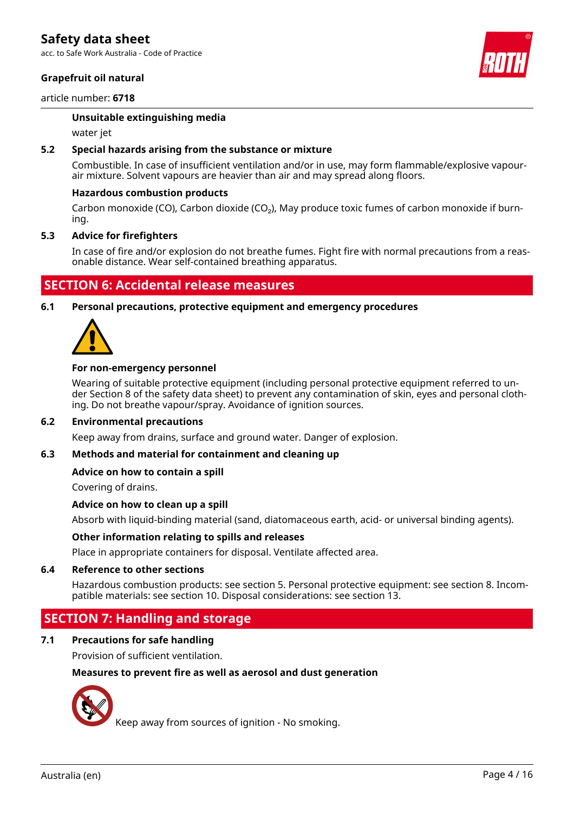acc. to Safe Work Australia - Code of Practice

#### **Grapefruit oil natural**

#### article number: **6718**



water jet

#### **5.2 Special hazards arising from the substance or mixture**

Combustible. In case of insufficient ventilation and/or in use, may form flammable/explosive vapourair mixture. Solvent vapours are heavier than air and may spread along floors.

#### **Hazardous combustion products**

Carbon monoxide (CO), Carbon dioxide (CO₂), May produce toxic fumes of carbon monoxide if burning.

#### **5.3 Advice for firefighters**

In case of fire and/or explosion do not breathe fumes. Fight fire with normal precautions from a reasonable distance. Wear self-contained breathing apparatus.

# **SECTION 6: Accidental release measures**

#### **6.1 Personal precautions, protective equipment and emergency procedures**



#### **For non-emergency personnel**

Wearing of suitable protective equipment (including personal protective equipment referred to under Section 8 of the safety data sheet) to prevent any contamination of skin, eyes and personal clothing. Do not breathe vapour/spray. Avoidance of ignition sources.

#### **6.2 Environmental precautions**

Keep away from drains, surface and ground water. Danger of explosion.

#### **6.3 Methods and material for containment and cleaning up**

#### **Advice on how to contain a spill**

Covering of drains.

#### **Advice on how to clean up a spill**

Absorb with liquid-binding material (sand, diatomaceous earth, acid- or universal binding agents).

#### **Other information relating to spills and releases**

Place in appropriate containers for disposal. Ventilate affected area.

#### **6.4 Reference to other sections**

Hazardous combustion products: see section 5. Personal protective equipment: see section 8. Incompatible materials: see section 10. Disposal considerations: see section 13.

# **SECTION 7: Handling and storage**

### **7.1 Precautions for safe handling**

Provision of sufficient ventilation.

#### **Measures to prevent fire as well as aerosol and dust generation**



Keep away from sources of ignition - No smoking.

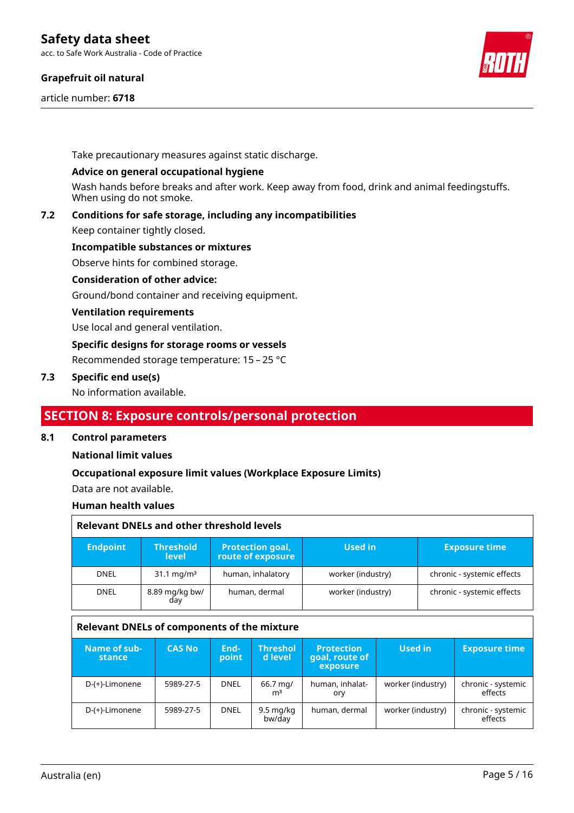acc. to Safe Work Australia - Code of Practice

#### **Grapefruit oil natural**

article number: **6718**



Take precautionary measures against static discharge.

#### **Advice on general occupational hygiene**

Wash hands before breaks and after work. Keep away from food, drink and animal feedingstuffs. When using do not smoke.

**7.2 Conditions for safe storage, including any incompatibilities**

Keep container tightly closed.

#### **Incompatible substances or mixtures**

Observe hints for combined storage.

#### **Consideration of other advice:**

Ground/bond container and receiving equipment.

#### **Ventilation requirements**

Use local and general ventilation.

### **Specific designs for storage rooms or vessels**

Recommended storage temperature: 15 – 25 °C

#### **7.3 Specific end use(s)**

No information available.

# **SECTION 8: Exposure controls/personal protection**

#### **8.1 Control parameters**

#### **National limit values**

#### **Occupational exposure limit values (Workplace Exposure Limits)**

Data are not available.

# **Human health values**

| <b>Relevant DNELs and other threshold levels</b> |                                  |                                              |                   |                            |  |  |  |  |
|--------------------------------------------------|----------------------------------|----------------------------------------------|-------------------|----------------------------|--|--|--|--|
| <b>Endpoint</b>                                  | <b>Threshold</b><br><b>level</b> | <b>Protection goal,</b><br>route of exposure | Used in           | <b>Exposure time</b>       |  |  |  |  |
| <b>DNEL</b>                                      | $31.1 \text{ mg/m}^3$            | human, inhalatory                            | worker (industry) | chronic - systemic effects |  |  |  |  |
| <b>DNEL</b>                                      | 8.89 mg/kg bw/<br>day            | human, dermal                                | worker (industry) | chronic - systemic effects |  |  |  |  |

#### **Relevant DNELs of components of the mixture**

| Name of sub-<br>stance | <b>CAS No</b> | End-<br>point | <b>Threshol</b><br>d level       | <b>Protection</b><br>goal, route of<br>exposure | Used in           | <b>Exposure time</b>          |
|------------------------|---------------|---------------|----------------------------------|-------------------------------------------------|-------------------|-------------------------------|
| D-(+)-Limonene         | 5989-27-5     | <b>DNEL</b>   | 66.7 mg/<br>m <sup>3</sup>       | human, inhalat-<br>ory                          | worker (industry) | chronic - systemic<br>effects |
| D-(+)-Limonene         | 5989-27-5     | <b>DNEL</b>   | $9.5 \,\mathrm{mq/kg}$<br>bw/day | human, dermal                                   | worker (industry) | chronic - systemic<br>effects |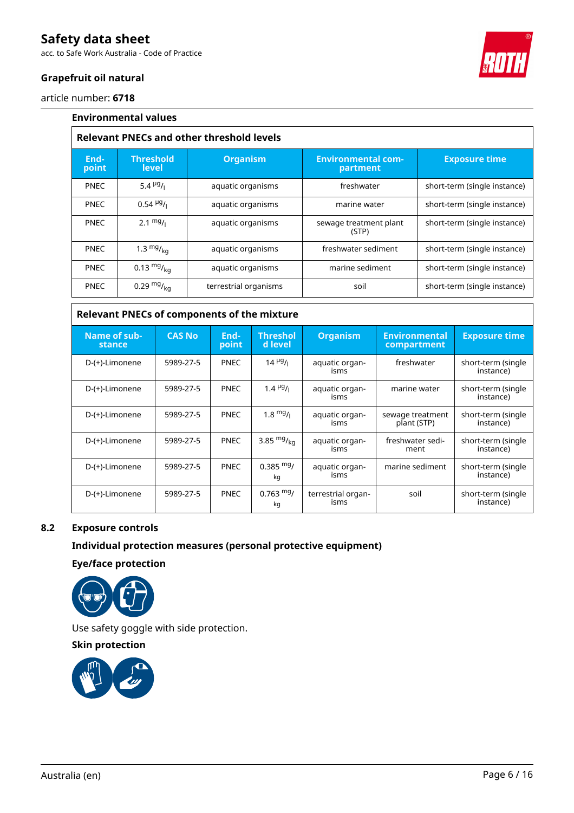acc. to Safe Work Australia - Code of Practice



# **Grapefruit oil natural**

article number: **6718**

| <b>Environmental values</b> |                           |                                                  |                                       |                              |  |  |  |
|-----------------------------|---------------------------|--------------------------------------------------|---------------------------------------|------------------------------|--|--|--|
|                             |                           | <b>Relevant PNECs and other threshold levels</b> |                                       |                              |  |  |  |
| End-<br>point               | <b>Threshold</b><br>level | <b>Organism</b>                                  | <b>Environmental com-</b><br>partment | <b>Exposure time</b>         |  |  |  |
| <b>PNEC</b>                 | 5.4 $\mu$ g/              | aquatic organisms                                | freshwater                            | short-term (single instance) |  |  |  |
| <b>PNEC</b>                 | $0.54\frac{\mu g}{\mu}$   | aquatic organisms                                | marine water                          | short-term (single instance) |  |  |  |
| <b>PNEC</b>                 | $2.1 \frac{mg}{l}$        | aquatic organisms                                | sewage treatment plant<br>(STP)       | short-term (single instance) |  |  |  |
| <b>PNEC</b>                 | 1.3 $mg/_{ka}$            | aquatic organisms                                | freshwater sediment                   | short-term (single instance) |  |  |  |
| <b>PNEC</b>                 | 0.13 $mg/kq$              | aquatic organisms                                | marine sediment                       | short-term (single instance) |  |  |  |
| <b>PNEC</b>                 | 0.29 $mg/kq$              | terrestrial organisms                            | soil                                  | short-term (single instance) |  |  |  |

#### **Relevant PNECs of components of the mixture**

| Name of sub-<br>stance | <b>CAS No</b> | End-<br>point | <b>Threshol</b><br>d level | <b>Organism</b>            | <b>Environmental</b><br>compartment | <b>Exposure time</b>            |
|------------------------|---------------|---------------|----------------------------|----------------------------|-------------------------------------|---------------------------------|
| D-(+)-Limonene         | 5989-27-5     | <b>PNEC</b>   | $14 \frac{\mu g}{\mu}$     | aquatic organ-<br>isms     | freshwater                          | short-term (single<br>instance) |
| D-(+)-Limonene         | 5989-27-5     | <b>PNEC</b>   | $1.4 \frac{\mu g}{I}$      | aguatic organ-<br>isms     | marine water                        | short-term (single<br>instance) |
| D-(+)-Limonene         | 5989-27-5     | <b>PNEC</b>   | $1.8 \frac{mg}{l}$         | aquatic organ-<br>isms     | sewage treatment<br>plant (STP)     | short-term (single<br>instance) |
| D-(+)-Limonene         | 5989-27-5     | <b>PNEC</b>   | 3.85 $mg/kq$               | aquatic organ-<br>isms     | freshwater sedi-<br>ment            | short-term (single<br>instance) |
| D-(+)-Limonene         | 5989-27-5     | <b>PNEC</b>   | $0.385$ mg/<br>kg          | aquatic organ-<br>isms     | marine sediment                     | short-term (single<br>instance) |
| D-(+)-Limonene         | 5989-27-5     | <b>PNEC</b>   | $0.763$ mg/<br>kg          | terrestrial organ-<br>isms | soil                                | short-term (single<br>instance) |

### **8.2 Exposure controls**

### **Individual protection measures (personal protective equipment)**

**Eye/face protection**



Use safety goggle with side protection.

**Skin protection**

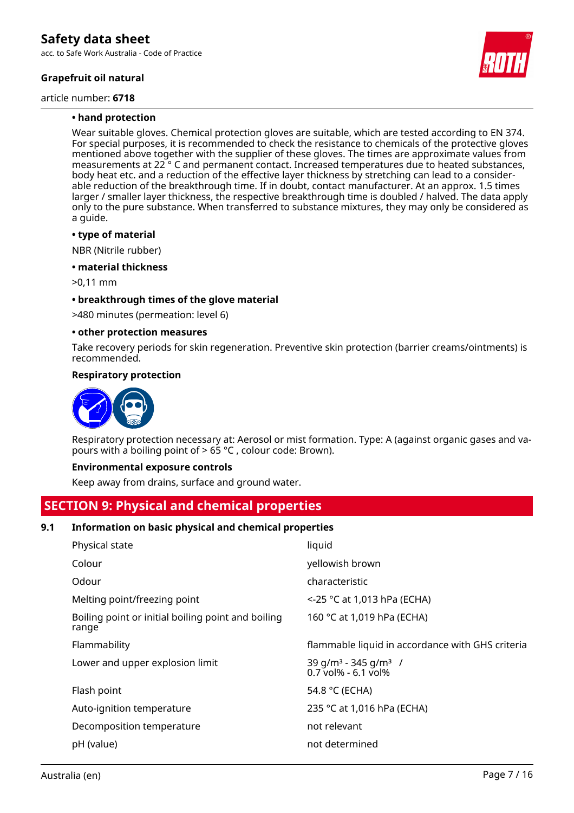acc. to Safe Work Australia - Code of Practice

### **Grapefruit oil natural**

article number: **6718**



#### **• hand protection**

Wear suitable gloves. Chemical protection gloves are suitable, which are tested according to EN 374. For special purposes, it is recommended to check the resistance to chemicals of the protective gloves mentioned above together with the supplier of these gloves. The times are approximate values from measurements at 22 ° C and permanent contact. Increased temperatures due to heated substances, body heat etc. and a reduction of the effective layer thickness by stretching can lead to a considerable reduction of the breakthrough time. If in doubt, contact manufacturer. At an approx. 1.5 times larger / smaller layer thickness, the respective breakthrough time is doubled / halved. The data apply only to the pure substance. When transferred to substance mixtures, they may only be considered as a guide.

#### **• type of material**

NBR (Nitrile rubber)

#### **• material thickness**

>0,11 mm

#### **• breakthrough times of the glove material**

>480 minutes (permeation: level 6)

#### **• other protection measures**

Take recovery periods for skin regeneration. Preventive skin protection (barrier creams/ointments) is recommended.

#### **Respiratory protection**



Respiratory protection necessary at: Aerosol or mist formation. Type: A (against organic gases and vapours with a boiling point of  $> 65$  °C, colour code: Brown).

#### **Environmental exposure controls**

Keep away from drains, surface and ground water.

# **SECTION 9: Physical and chemical properties**

#### **9.1 Information on basic physical and chemical properties**

| Physical state                                              | liquid                                                                |
|-------------------------------------------------------------|-----------------------------------------------------------------------|
| Colour                                                      | yellowish brown                                                       |
| Odour                                                       | characteristic                                                        |
| Melting point/freezing point                                | <-25 °C at 1,013 hPa (ECHA)                                           |
| Boiling point or initial boiling point and boiling<br>range | 160 °C at 1,019 hPa (ECHA)                                            |
| Flammability                                                | flammable liquid in accordance with GHS criteria                      |
| Lower and upper explosion limit                             | 39 g/m <sup>3</sup> - 345 g/m <sup>3</sup> /<br>$0.7$ vol% - 6.1 vol% |
| Flash point                                                 | 54.8 °C (ECHA)                                                        |
| Auto-ignition temperature                                   | 235 °C at 1,016 hPa (ECHA)                                            |
| Decomposition temperature                                   | not relevant                                                          |
| pH (value)                                                  | not determined                                                        |
|                                                             |                                                                       |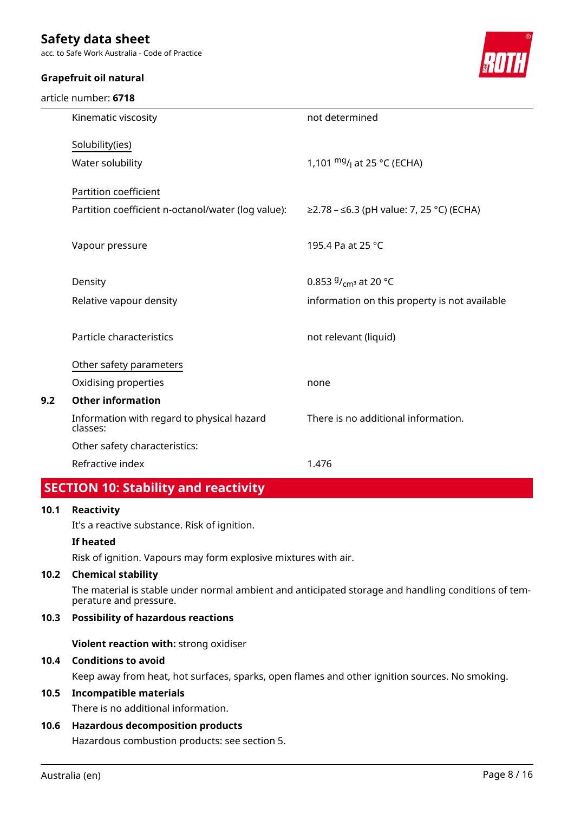acc. to Safe Work Australia - Code of Practice

### **Grapefruit oil natural**

article number: **6718**



|     | Kinematic viscosity                                    | not determined                                |
|-----|--------------------------------------------------------|-----------------------------------------------|
|     | Solubility(ies)                                        |                                               |
|     | Water solubility                                       | 1,101 $mg/$ <sub>1</sub> at 25 °C (ECHA)      |
|     | Partition coefficient                                  |                                               |
|     | Partition coefficient n-octanol/water (log value):     | ≥2.78 – ≤6.3 (pH value: 7, 25 °C) (ECHA)      |
|     |                                                        |                                               |
|     | Vapour pressure                                        | 195.4 Pa at 25 °C                             |
|     | Density                                                | 0.853 $9/_{\text{cm}^3}$ at 20 °C             |
|     | Relative vapour density                                | information on this property is not available |
|     | Particle characteristics                               | not relevant (liquid)                         |
|     | Other safety parameters                                |                                               |
|     | Oxidising properties                                   | none                                          |
| 9.2 | <b>Other information</b>                               |                                               |
|     | Information with regard to physical hazard<br>classes: | There is no additional information.           |
|     | Other safety characteristics:                          |                                               |
|     | Refractive index                                       | 1.476                                         |
|     |                                                        |                                               |

# **SECTION 10: Stability and reactivity**

### **10.1 Reactivity**

It's a reactive substance. Risk of ignition.

#### **If heated**

Risk of ignition. Vapours may form explosive mixtures with air.

#### **10.2 Chemical stability**

The material is stable under normal ambient and anticipated storage and handling conditions of temperature and pressure.

#### **10.3 Possibility of hazardous reactions**

**Violent reaction with:** strong oxidiser

### **10.4 Conditions to avoid**

Keep away from heat, hot surfaces, sparks, open flames and other ignition sources. No smoking.

### **10.5 Incompatible materials**

There is no additional information.

# **10.6 Hazardous decomposition products**

Hazardous combustion products: see section 5.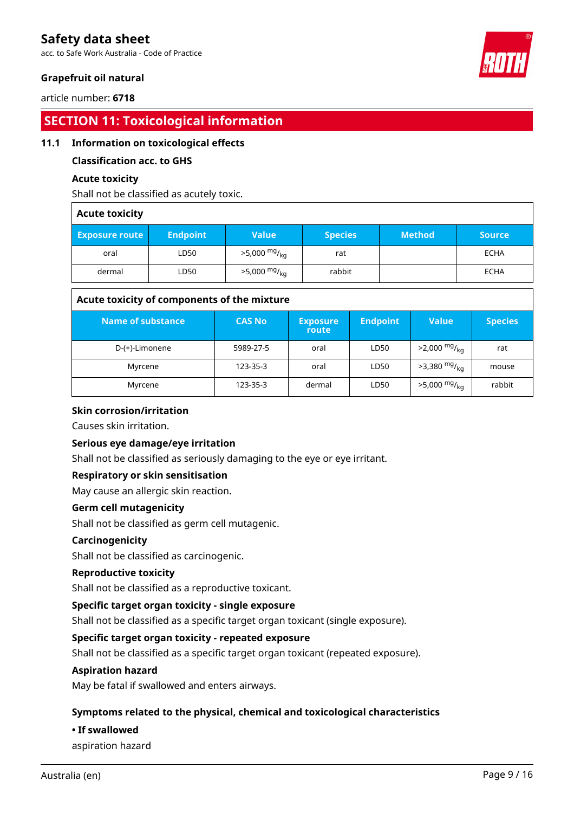acc. to Safe Work Australia - Code of Practice

# **Grapefruit oil natural**

#### article number: **6718**

# **SECTION 11: Toxicological information**

### **11.1 Information on toxicological effects**

### **Classification acc. to GHS**

#### **Acute toxicity**

Shall not be classified as acutely toxic.

### **Acute toxicity**

| <b>Exposure route</b> | <b>Endpoint</b> | <b>Value</b>               | <b>Species</b> | <b>Method</b> | <b>Source</b> |
|-----------------------|-----------------|----------------------------|----------------|---------------|---------------|
| oral                  | LD50            | $>5,000$ mg/ <sub>ka</sub> | rat            |               | <b>ECHA</b>   |
| dermal                | LD50            | $>5,000$ mg/ <sub>kg</sub> | rabbit         |               | <b>ECHA</b>   |

#### **Acute toxicity of components of the mixture**

| Name of substance | <b>CAS No</b> | <b>Exposure</b><br>route | <b>Endpoint</b> | Value                      | <b>Species</b> |
|-------------------|---------------|--------------------------|-----------------|----------------------------|----------------|
| D-(+)-Limonene    | 5989-27-5     | oral                     | LD50            | $>2,000$ mg/ <sub>ka</sub> | rat            |
| Myrcene           | 123-35-3      | oral                     | LD50            | $>3,380$ mg/ <sub>ka</sub> | mouse          |
| Myrcene           | 123-35-3      | dermal                   | LD50            | $>5,000$ mg/ <sub>ka</sub> | rabbit         |

#### **Skin corrosion/irritation**

Causes skin irritation.

#### **Serious eye damage/eye irritation**

Shall not be classified as seriously damaging to the eye or eye irritant.

#### **Respiratory or skin sensitisation**

May cause an allergic skin reaction.

### **Germ cell mutagenicity**

Shall not be classified as germ cell mutagenic.

### **Carcinogenicity**

Shall not be classified as carcinogenic.

#### **Reproductive toxicity**

Shall not be classified as a reproductive toxicant.

#### **Specific target organ toxicity - single exposure**

Shall not be classified as a specific target organ toxicant (single exposure).

#### **Specific target organ toxicity - repeated exposure**

Shall not be classified as a specific target organ toxicant (repeated exposure).

#### **Aspiration hazard**

May be fatal if swallowed and enters airways.

### **Symptoms related to the physical, chemical and toxicological characteristics**

#### **• If swallowed**

aspiration hazard



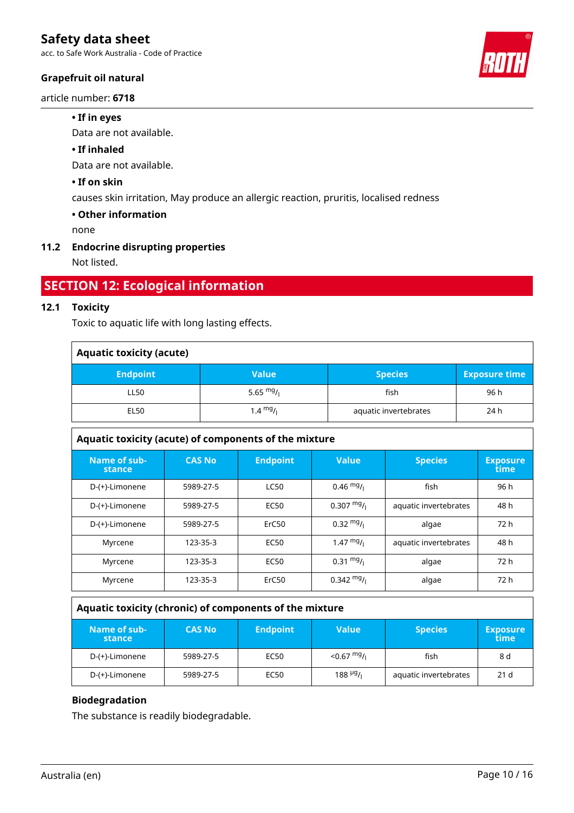acc. to Safe Work Australia - Code of Practice

### **Grapefruit oil natural**

article number: **6718**

#### **• If in eyes**

Data are not available.

#### **• If inhaled**

Data are not available.

#### **• If on skin**

causes skin irritation, May produce an allergic reaction, pruritis, localised redness

#### **• Other information**

none

### **11.2 Endocrine disrupting properties**

Not listed.

# **SECTION 12: Ecological information**

#### **12.1 Toxicity**

Toxic to aquatic life with long lasting effects.

| <b>Aquatic toxicity (acute)</b> |              |                       |                      |
|---------------------------------|--------------|-----------------------|----------------------|
| <b>Endpoint</b>                 | <b>Value</b> | <b>Species</b>        | <b>Exposure time</b> |
| <b>LL50</b>                     | 5.65 $mg/1$  | fish                  | 96 h                 |
| EL50                            | 1.4 $mg/1$   | aquatic invertebrates | 24 h                 |

| Aquatic toxicity (acute) of components of the mixture |               |                 |                      |                       |                         |
|-------------------------------------------------------|---------------|-----------------|----------------------|-----------------------|-------------------------|
| Name of sub-<br>stance                                | <b>CAS No</b> | <b>Endpoint</b> | <b>Value</b>         | <b>Species</b>        | <b>Exposure</b><br>time |
| D-(+)-Limonene                                        | 5989-27-5     | <b>LC50</b>     | $0.46 \frac{mg}{l}$  | fish                  | 96 h                    |
| D-(+)-Limonene                                        | 5989-27-5     | <b>EC50</b>     | $0.307 \frac{mg}{l}$ | aquatic invertebrates | 48 h                    |
| D-(+)-Limonene                                        | 5989-27-5     | ErC50           | $0.32 \text{ mg}$ /  | algae                 | 72 h                    |
| Myrcene                                               | 123-35-3      | <b>EC50</b>     | $1.47 \frac{mg}{L}$  | aquatic invertebrates | 48 h                    |
| Myrcene                                               | 123-35-3      | <b>EC50</b>     | $0.31 \text{ mg}$ /  | algae                 | 72 h                    |
| Myrcene                                               | 123-35-3      | ErC50           | $0.342 \frac{mg}{l}$ | algae                 | 72 h                    |

#### **Aquatic toxicity (chronic) of components of the mixture**

| Name of sub-<br>stance | <b>CAS No</b> | <b>Endpoint</b> | Value                              | <b>Species</b>        | <b>Exposure</b><br>time |
|------------------------|---------------|-----------------|------------------------------------|-----------------------|-------------------------|
| D-(+)-Limonene         | 5989-27-5     | EC50            | $<$ 0.67 mg/                       | fish                  | 8 d                     |
| D-(+)-Limonene         | 5989-27-5     | EC50            | $188$ <sup>µg</sup> / <sub>i</sub> | aquatic invertebrates | 21 <sub>d</sub>         |

### **Biodegradation**

The substance is readily biodegradable.



Ĕ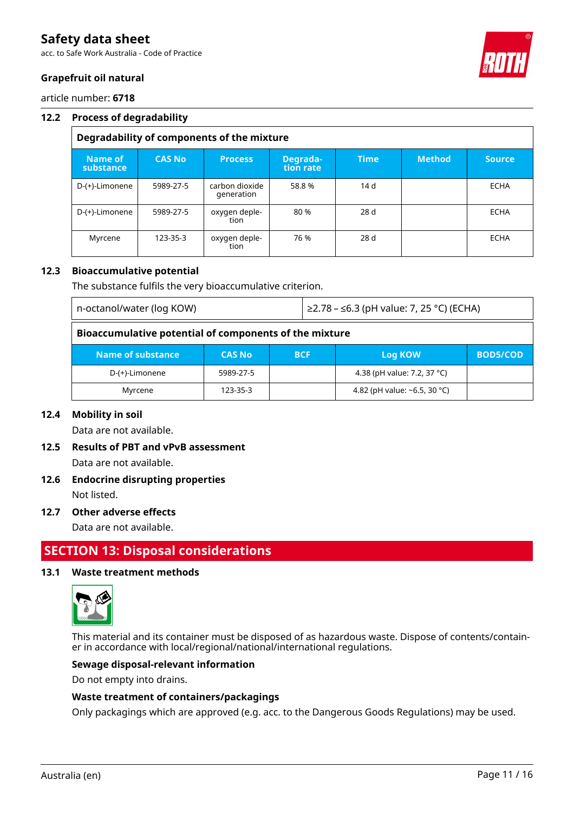acc. to Safe Work Australia - Code of Practice



# **Grapefruit oil natural**

article number: **6718**

#### **12.2 Process of degradability Degradability of components of the mixture Name of substance** CAS No **Process Degradation rate Time Method Source** D-(+)-Limonene  $\vert$  5989-27-5 carbon dioxide generation 58.8 % 14 d ECHA D-(+)-Limonene  $\vert$  5989-27-5  $\vert$  oxygen depletion 80 % 28 d ECHA Myrcene | 123-35-3 | oxygen depletion 76 % | 28 d | | ECHA

# **12.3 Bioaccumulative potential**

The substance fulfils the very bioaccumulative criterion.

n-octanol/water (log KOW)  $\vert$   $\geq$ 2.78 –  $\leq$ 6.3 (pH value: 7, 25 °C) (ECHA)

| Bioaccumulative potential of components of the mixture |               |            |                                 |                 |
|--------------------------------------------------------|---------------|------------|---------------------------------|-----------------|
| Name of substance                                      | <b>CAS No</b> | <b>BCF</b> | <b>Log KOW</b>                  | <b>BOD5/COD</b> |
| D-(+)-Limonene                                         | 5989-27-5     |            | 4.38 (pH value: 7.2, 37 °C)     |                 |
| Myrcene                                                | 123-35-3      |            | 4.82 (pH value: $~6.5$ , 30 °C) |                 |

#### **12.4 Mobility in soil**

Data are not available.

# **12.5 Results of PBT and vPvB assessment**

Data are not available.

# **12.6 Endocrine disrupting properties**

Not listed.

#### **12.7 Other adverse effects**

Data are not available.

# **SECTION 13: Disposal considerations**

#### **13.1 Waste treatment methods**



This material and its container must be disposed of as hazardous waste. Dispose of contents/container in accordance with local/regional/national/international regulations.

#### **Sewage disposal-relevant information**

Do not empty into drains.

#### **Waste treatment of containers/packagings**

Only packagings which are approved (e.g. acc. to the Dangerous Goods Regulations) may be used.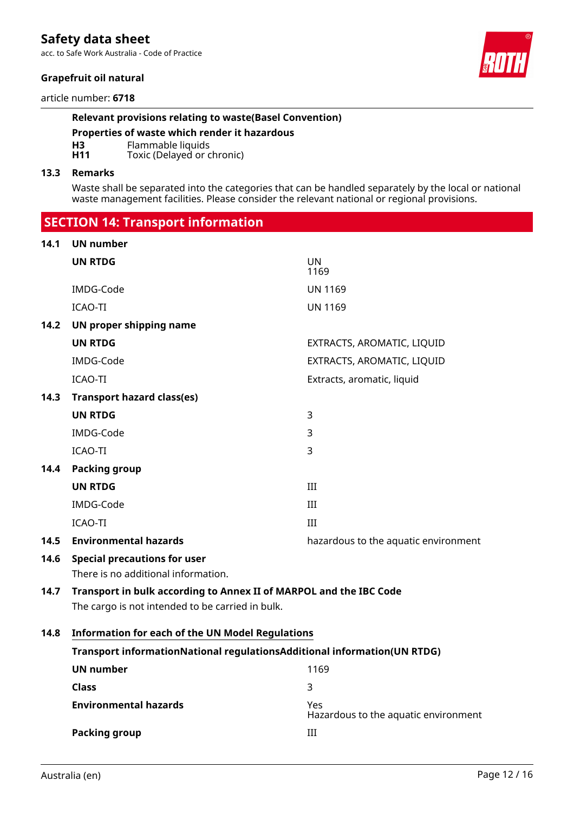acc. to Safe Work Australia - Code of Practice

### **Grapefruit oil natural**

# article number: **6718**

### **Relevant provisions relating to waste(Basel Convention)**

**Properties of waste which render it hazardous**

**H3** Flammable liquids<br>**H11** Toxic (Delayed or c

Toxic (Delayed or chronic)

#### **13.3 Remarks**

Waste shall be separated into the categories that can be handled separately by the local or national waste management facilities. Please consider the relevant national or regional provisions.

 **SECTION 14: Transport information**

| 14.1 | <b>UN number</b>                                                         |                                             |
|------|--------------------------------------------------------------------------|---------------------------------------------|
|      | <b>UN RTDG</b>                                                           | UN<br>1169                                  |
|      | IMDG-Code                                                                | <b>UN 1169</b>                              |
|      | <b>ICAO-TI</b>                                                           | <b>UN 1169</b>                              |
| 14.2 | UN proper shipping name                                                  |                                             |
|      | <b>UN RTDG</b>                                                           | EXTRACTS, AROMATIC, LIQUID                  |
|      | IMDG-Code                                                                | EXTRACTS, AROMATIC, LIQUID                  |
|      | <b>ICAO-TI</b>                                                           | Extracts, aromatic, liquid                  |
| 14.3 | <b>Transport hazard class(es)</b>                                        |                                             |
|      | <b>UN RTDG</b>                                                           | 3                                           |
|      | IMDG-Code                                                                | 3                                           |
|      | <b>ICAO-TI</b>                                                           | 3                                           |
| 14.4 | <b>Packing group</b>                                                     |                                             |
|      | <b>UN RTDG</b>                                                           | III                                         |
|      | IMDG-Code                                                                | III                                         |
|      | <b>ICAO-TI</b>                                                           | III                                         |
| 14.5 | <b>Environmental hazards</b>                                             | hazardous to the aquatic environment        |
| 14.6 | <b>Special precautions for user</b>                                      |                                             |
|      | There is no additional information.                                      |                                             |
| 14.7 | Transport in bulk according to Annex II of MARPOL and the IBC Code       |                                             |
|      | The cargo is not intended to be carried in bulk.                         |                                             |
| 14.8 | <b>Information for each of the UN Model Regulations</b>                  |                                             |
|      | Transport informationNational regulationsAdditional information(UN RTDG) |                                             |
|      | <b>UN number</b>                                                         | 1169                                        |
|      | <b>Class</b>                                                             | 3                                           |
|      | <b>Environmental hazards</b>                                             | Yes<br>Hazardous to the aquatic environment |
|      | <b>Packing group</b>                                                     | III                                         |

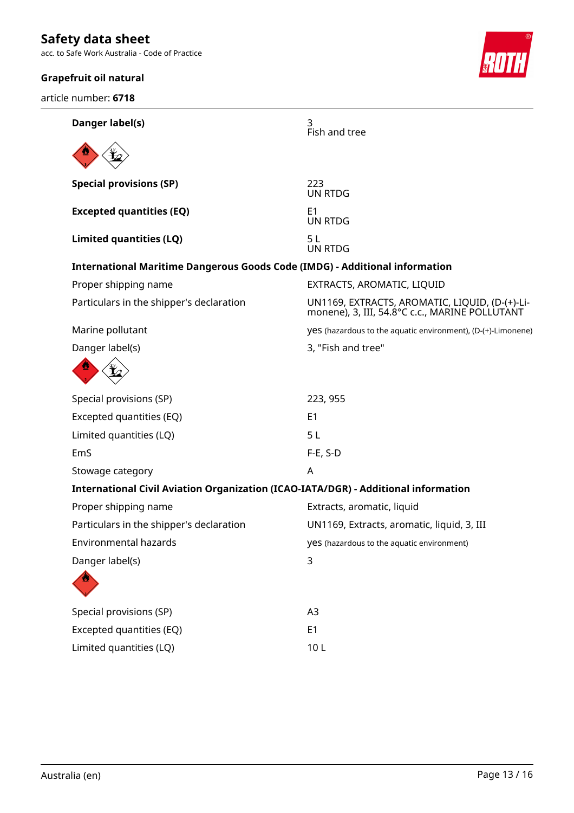acc. to Safe Work Australia - Code of Practice

# **Grapefruit oil natural**

article number: **6718**



| Danger label(s)                                                             | 3<br>Fish and tree                                                                               |
|-----------------------------------------------------------------------------|--------------------------------------------------------------------------------------------------|
|                                                                             |                                                                                                  |
| <b>Special provisions (SP)</b>                                              | 223<br><b>UN RTDG</b>                                                                            |
| <b>Excepted quantities (EQ)</b>                                             | E <sub>1</sub><br><b>UN RTDG</b>                                                                 |
| Limited quantities (LQ)                                                     | 5 L<br><b>UN RTDG</b>                                                                            |
| International Maritime Dangerous Goods Code (IMDG) - Additional information |                                                                                                  |
| Proper shipping name                                                        | EXTRACTS, AROMATIC, LIQUID                                                                       |
| Particulars in the shipper's declaration                                    | UN1169, EXTRACTS, AROMATIC, LIQUID, (D-(+)-Li-<br>monene), 3, III, 54.8°C c.c., MARINE POLLUTANT |
| Marine pollutant                                                            | yes (hazardous to the aquatic environment), (D-(+)-Limonene)                                     |
| Danger label(s)                                                             | 3, "Fish and tree"                                                                               |
|                                                                             |                                                                                                  |
| Special provisions (SP)                                                     | 223, 955                                                                                         |
| Excepted quantities (EQ)                                                    | E1                                                                                               |
| Limited quantities (LQ)                                                     | 5L                                                                                               |
| EmS                                                                         | $F-E$ , S-D                                                                                      |
| Stowage category                                                            | A                                                                                                |
|                                                                             | International Civil Aviation Organization (ICAO-IATA/DGR) - Additional information               |
| Proper shipping name                                                        | Extracts, aromatic, liquid                                                                       |
| Particulars in the shipper's declaration                                    | UN1169, Extracts, aromatic, liquid, 3, III                                                       |
| <b>Environmental hazards</b>                                                | yes (hazardous to the aquatic environment)                                                       |
| Danger label(s)                                                             | 3                                                                                                |
|                                                                             |                                                                                                  |
| Special provisions (SP)                                                     | A <sub>3</sub>                                                                                   |
| Excepted quantities (EQ)                                                    | E1                                                                                               |
| Limited quantities (LQ)                                                     | 10L                                                                                              |
|                                                                             |                                                                                                  |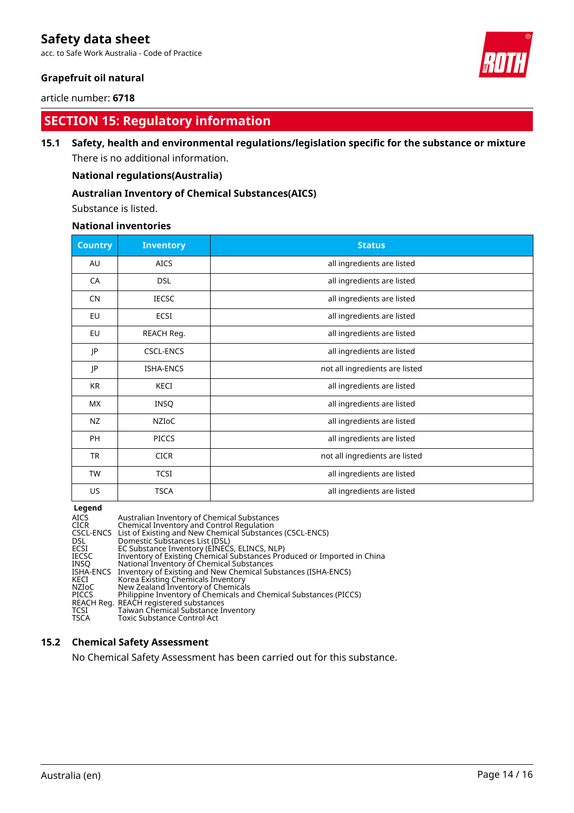acc. to Safe Work Australia - Code of Practice

### **Grapefruit oil natural**

#### article number: **6718**

# **SECTION 15: Regulatory information**

# **15.1 Safety, health and environmental regulations/legislation specific for the substance or mixture** There is no additional information.

#### **National regulations(Australia)**

### **Australian Inventory of Chemical Substances(AICS)**

Substance is listed.

#### **National inventories**

| <b>Country</b> | <b>Inventory</b> | <b>Status</b>                  |
|----------------|------------------|--------------------------------|
| AU             | <b>AICS</b>      | all ingredients are listed     |
| CA             | <b>DSL</b>       | all ingredients are listed     |
| <b>CN</b>      | <b>IECSC</b>     | all ingredients are listed     |
| EU             | ECSI             | all ingredients are listed     |
| EU             | REACH Reg.       | all ingredients are listed     |
| JP             | <b>CSCL-ENCS</b> | all ingredients are listed     |
| JP             | <b>ISHA-ENCS</b> | not all ingredients are listed |
| KR             | KECI             | all ingredients are listed     |
| МX             | INSQ             | all ingredients are listed     |
| NZ             | NZIOC            | all ingredients are listed     |
| PH             | <b>PICCS</b>     | all ingredients are listed     |
| <b>TR</b>      | <b>CICR</b>      | not all ingredients are listed |
| TW             | <b>TCSI</b>      | all ingredients are listed     |
| US             | <b>TSCA</b>      | all ingredients are listed     |

#### **Legend**

| <b>AICS</b>  | Australian Inventory of Chemical Substances                             |
|--------------|-------------------------------------------------------------------------|
| <b>CICR</b>  | Chemical Inventory and Control Regulation                               |
|              | CSCL-ENCS List of Existing and New Chemical Substances (CSCL-ENCS)      |
| <b>DSL</b>   | Domestic Substances List (DSL)                                          |
| ECSI         | EC Substance Inventory (EINECS, ELINCS, NLP)                            |
| <b>IECSC</b> | Inventory of Existing Chemical Substances Produced or Imported in China |
| <b>INSO</b>  | National Inventory of Chemical Substances                               |
|              | ISHA-ENCS Inventory of Existing and New Chemical Substances (ISHA-ENCS) |
| KECI         | Korea Existing Chemicals Inventory                                      |
| NZIoC        | New Zealand Inventory of Chemicals                                      |
| <b>PICCS</b> | Philippine Inventory of Chemicals and Chemical Substances (PICCS)       |
|              | REACH Reg. REACH registered substances                                  |
| TCSI         | Taiwan Chemical Substance Inventory                                     |
| <b>TSCA</b>  | <b>Toxic Substance Control Act</b>                                      |
|              |                                                                         |

#### **15.2 Chemical Safety Assessment**

No Chemical Safety Assessment has been carried out for this substance.

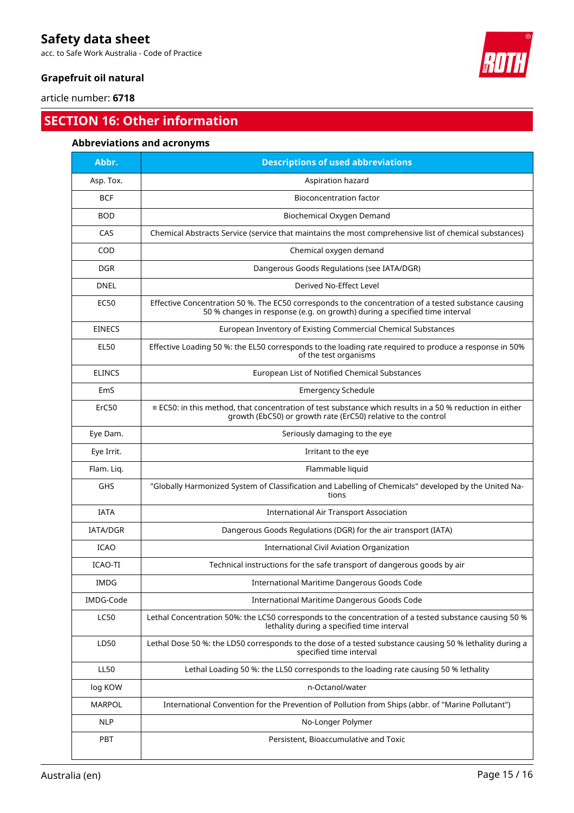acc. to Safe Work Australia - Code of Practice

# **Grapefruit oil natural**

article number: **6718**

# **SECTION 16: Other information**

# **Abbreviations and acronyms**

| Abbr.         | <b>Descriptions of used abbreviations</b>                                                                                                                                           |  |
|---------------|-------------------------------------------------------------------------------------------------------------------------------------------------------------------------------------|--|
| Asp. Tox.     | Aspiration hazard                                                                                                                                                                   |  |
| <b>BCF</b>    | <b>Bioconcentration factor</b>                                                                                                                                                      |  |
| <b>BOD</b>    | Biochemical Oxygen Demand                                                                                                                                                           |  |
| CAS           | Chemical Abstracts Service (service that maintains the most comprehensive list of chemical substances)                                                                              |  |
| COD           | Chemical oxygen demand                                                                                                                                                              |  |
| <b>DGR</b>    | Dangerous Goods Regulations (see IATA/DGR)                                                                                                                                          |  |
| <b>DNEL</b>   | Derived No-Effect Level                                                                                                                                                             |  |
| <b>EC50</b>   | Effective Concentration 50 %. The EC50 corresponds to the concentration of a tested substance causing<br>50 % changes in response (e.g. on growth) during a specified time interval |  |
| <b>EINECS</b> | European Inventory of Existing Commercial Chemical Substances                                                                                                                       |  |
| <b>EL50</b>   | Effective Loading 50 %: the EL50 corresponds to the loading rate required to produce a response in 50%<br>of the test organisms                                                     |  |
| <b>ELINCS</b> | European List of Notified Chemical Substances                                                                                                                                       |  |
| EmS           | <b>Emergency Schedule</b>                                                                                                                                                           |  |
| ErC50         | $\equiv$ EC50: in this method, that concentration of test substance which results in a 50 % reduction in either<br>growth (EbC50) or growth rate (ErC50) relative to the control    |  |
| Eye Dam.      | Seriously damaging to the eye                                                                                                                                                       |  |
| Eye Irrit.    | Irritant to the eye                                                                                                                                                                 |  |
| Flam. Liq.    | Flammable liquid                                                                                                                                                                    |  |
| <b>GHS</b>    | "Globally Harmonized System of Classification and Labelling of Chemicals" developed by the United Na-<br>tions                                                                      |  |
| <b>IATA</b>   | <b>International Air Transport Association</b>                                                                                                                                      |  |
| IATA/DGR      | Dangerous Goods Regulations (DGR) for the air transport (IATA)                                                                                                                      |  |
| <b>ICAO</b>   | International Civil Aviation Organization                                                                                                                                           |  |
| ICAO-TI       | Technical instructions for the safe transport of dangerous goods by air                                                                                                             |  |
| IMDG          | International Maritime Dangerous Goods Code                                                                                                                                         |  |
| IMDG-Code     | International Maritime Dangerous Goods Code                                                                                                                                         |  |
| <b>LC50</b>   | Lethal Concentration 50%: the LC50 corresponds to the concentration of a tested substance causing 50 %<br>lethality during a specified time interval                                |  |
| LD50          | Lethal Dose 50 %: the LD50 corresponds to the dose of a tested substance causing 50 % lethality during a<br>specified time interval                                                 |  |
| <b>LL50</b>   | Lethal Loading 50 %: the LL50 corresponds to the loading rate causing 50 % lethality                                                                                                |  |
| log KOW       | n-Octanol/water                                                                                                                                                                     |  |
| <b>MARPOL</b> | International Convention for the Prevention of Pollution from Ships (abbr. of "Marine Pollutant")                                                                                   |  |
| <b>NLP</b>    | No-Longer Polymer                                                                                                                                                                   |  |
| PBT           | Persistent, Bioaccumulative and Toxic                                                                                                                                               |  |